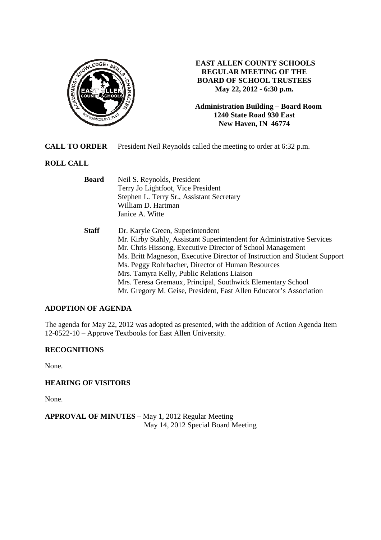

## **EAST ALLEN COUNTY SCHOOLS REGULAR MEETING OF THE BOARD OF SCHOOL TRUSTEES May 22, 2012 - 6:30 p.m.**

**Administration Building – Board Room 1240 State Road 930 East New Haven, IN 46774**

**CALL TO ORDER** President Neil Reynolds called the meeting to order at 6:32 p.m.

# **ROLL CALL**

| <b>Board</b> | Neil S. Reynolds, President                                               |
|--------------|---------------------------------------------------------------------------|
|              | Terry Jo Lightfoot, Vice President                                        |
|              | Stephen L. Terry Sr., Assistant Secretary                                 |
|              | William D. Hartman                                                        |
|              | Janice A. Witte                                                           |
| <b>Staff</b> | Dr. Karyle Green, Superintendent                                          |
|              | Mr. Kirby Stahly, Assistant Superintendent for Administrative Services    |
|              | Mr. Chris Hissong, Executive Director of School Management                |
|              | Ms. Britt Magneson, Executive Director of Instruction and Student Support |
|              | Ms. Peggy Rohrbacher, Director of Human Resources                         |
|              | Mrs. Tamyra Kelly, Public Relations Liaison                               |
|              | Mrs. Teresa Gremaux, Principal, Southwick Elementary School               |
|              | Mr. Gregory M. Geise, President, East Allen Educator's Association        |

## **ADOPTION OF AGENDA**

The agenda for May 22, 2012 was adopted as presented, with the addition of Action Agenda Item 12-0522-10 – Approve Textbooks for East Allen University.

### **RECOGNITIONS**

None.

## **HEARING OF VISITORS**

None.

**APPROVAL OF MINUTES** – May 1, 2012 Regular Meeting May 14, 2012 Special Board Meeting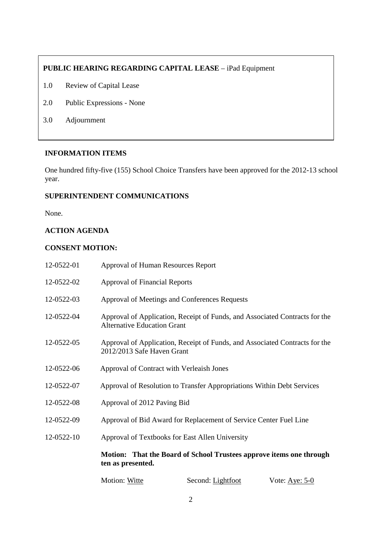# **PUBLIC HEARING REGARDING CAPITAL LEASE** – iPad Equipment

- 1.0 Review of Capital Lease
- 2.0 Public Expressions None
- 3.0 Adjournment

# **INFORMATION ITEMS**

One hundred fifty-five (155) School Choice Transfers have been approved for the 2012-13 school year.

## **SUPERINTENDENT COMMUNICATIONS**

None.

# **ACTION AGENDA**

# **CONSENT MOTION:**

|            | Motion: Witte                                                                                                                                                                                                                                                                                                           | Second: Lightfoot | Vote: Aye: $5-0$ |
|------------|-------------------------------------------------------------------------------------------------------------------------------------------------------------------------------------------------------------------------------------------------------------------------------------------------------------------------|-------------------|------------------|
|            | Motion: That the Board of School Trustees approve items one through<br>ten as presented.                                                                                                                                                                                                                                |                   |                  |
| 12-0522-10 | Approval of Textbooks for East Allen University                                                                                                                                                                                                                                                                         |                   |                  |
| 12-0522-09 | Approval of Bid Award for Replacement of Service Center Fuel Line                                                                                                                                                                                                                                                       |                   |                  |
| 12-0522-08 | Approval of 2012 Paving Bid                                                                                                                                                                                                                                                                                             |                   |                  |
| 12-0522-07 | Approval of Resolution to Transfer Appropriations Within Debt Services                                                                                                                                                                                                                                                  |                   |                  |
| 12-0522-06 | Approval of Contract with Verleaish Jones                                                                                                                                                                                                                                                                               |                   |                  |
| 12-0522-05 | <b>Approval of Financial Reports</b><br>Approval of Meetings and Conferences Requests<br>Approval of Application, Receipt of Funds, and Associated Contracts for the<br><b>Alternative Education Grant</b><br>Approval of Application, Receipt of Funds, and Associated Contracts for the<br>2012/2013 Safe Haven Grant |                   |                  |
| 12-0522-04 |                                                                                                                                                                                                                                                                                                                         |                   |                  |
| 12-0522-03 |                                                                                                                                                                                                                                                                                                                         |                   |                  |
| 12-0522-02 |                                                                                                                                                                                                                                                                                                                         |                   |                  |
| 12-0522-01 | Approval of Human Resources Report                                                                                                                                                                                                                                                                                      |                   |                  |